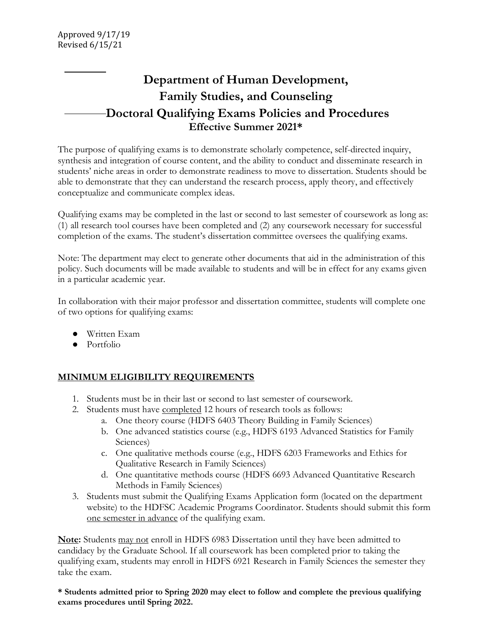# **Department of Human Development, Family Studies, and Counseling Doctoral Qualifying Exams Policies and Procedures Effective Summer 2021\***

The purpose of qualifying exams is to demonstrate scholarly competence, self-directed inquiry, synthesis and integration of course content, and the ability to conduct and disseminate research in students' niche areas in order to demonstrate readiness to move to dissertation. Students should be able to demonstrate that they can understand the research process, apply theory, and effectively conceptualize and communicate complex ideas.

Qualifying exams may be completed in the last or second to last semester of coursework as long as: (1) all research tool courses have been completed and (2) any coursework necessary for successful completion of the exams. The student's dissertation committee oversees the qualifying exams.

Note: The department may elect to generate other documents that aid in the administration of this policy. Such documents will be made available to students and will be in effect for any exams given in a particular academic year.

In collaboration with their major professor and dissertation committee, students will complete one of two options for qualifying exams:

- Written Exam
- Portfolio

## **MINIMUM ELIGIBILITY REQUIREMENTS**

- 1. Students must be in their last or second to last semester of coursework.
- 2. Students must have completed 12 hours of research tools as follows:
	- a. One theory course (HDFS 6403 Theory Building in Family Sciences)
	- b. One advanced statistics course (e.g., HDFS 6193 Advanced Statistics for Family Sciences)
	- c. One qualitative methods course (e.g., HDFS 6203 Frameworks and Ethics for Qualitative Research in Family Sciences)
	- d. One quantitative methods course (HDFS 6693 Advanced Quantitative Research Methods in Family Sciences)
- 3. Students must submit the Qualifying Exams Application form (located on the department website) to the HDFSC Academic Programs Coordinator. Students should submit this form one semester in advance of the qualifying exam.

**Note:** Students may not enroll in HDFS 6983 Dissertation until they have been admitted to candidacy by the Graduate School. If all coursework has been completed prior to taking the qualifying exam, students may enroll in HDFS 6921 Research in Family Sciences the semester they take the exam.

**\* Students admitted prior to Spring 2020 may elect to follow and complete the previous qualifying exams procedures until Spring 2022.**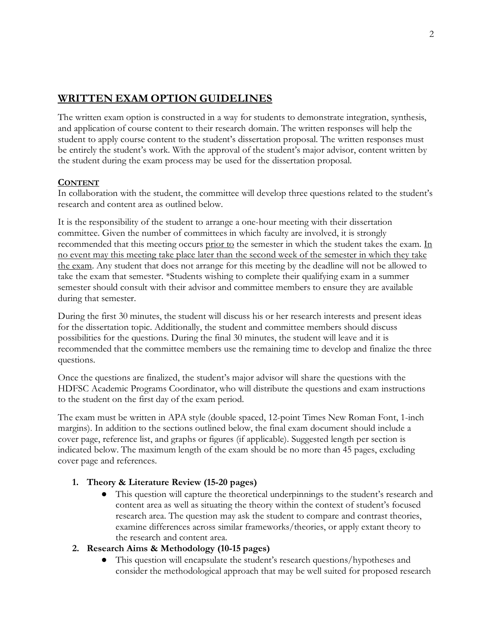# **WRITTEN EXAM OPTION GUIDELINES**

The written exam option is constructed in a way for students to demonstrate integration, synthesis, and application of course content to their research domain. The written responses will help the student to apply course content to the student's dissertation proposal. The written responses must be entirely the student's work. With the approval of the student's major advisor, content written by the student during the exam process may be used for the dissertation proposal.

#### **CONTENT**

In collaboration with the student, the committee will develop three questions related to the student's research and content area as outlined below.

It is the responsibility of the student to arrange a one-hour meeting with their dissertation committee. Given the number of committees in which faculty are involved, it is strongly recommended that this meeting occurs prior to the semester in which the student takes the exam. In no event may this meeting take place later than the second week of the semester in which they take the exam. Any student that does not arrange for this meeting by the deadline will not be allowed to take the exam that semester. \*Students wishing to complete their qualifying exam in a summer semester should consult with their advisor and committee members to ensure they are available during that semester.

During the first 30 minutes, the student will discuss his or her research interests and present ideas for the dissertation topic. Additionally, the student and committee members should discuss possibilities for the questions. During the final 30 minutes, the student will leave and it is recommended that the committee members use the remaining time to develop and finalize the three questions.

Once the questions are finalized, the student's major advisor will share the questions with the HDFSC Academic Programs Coordinator, who will distribute the questions and exam instructions to the student on the first day of the exam period.

The exam must be written in APA style (double spaced, 12-point Times New Roman Font, 1-inch margins). In addition to the sections outlined below, the final exam document should include a cover page, reference list, and graphs or figures (if applicable). Suggested length per section is indicated below. The maximum length of the exam should be no more than 45 pages, excluding cover page and references.

#### **1. Theory & Literature Review (15-20 pages)**

● This question will capture the theoretical underpinnings to the student's research and content area as well as situating the theory within the context of student's focused research area. The question may ask the student to compare and contrast theories, examine differences across similar frameworks/theories, or apply extant theory to the research and content area.

### **2. Research Aims & Methodology (10-15 pages)**

This question will encapsulate the student's research questions/hypotheses and consider the methodological approach that may be well suited for proposed research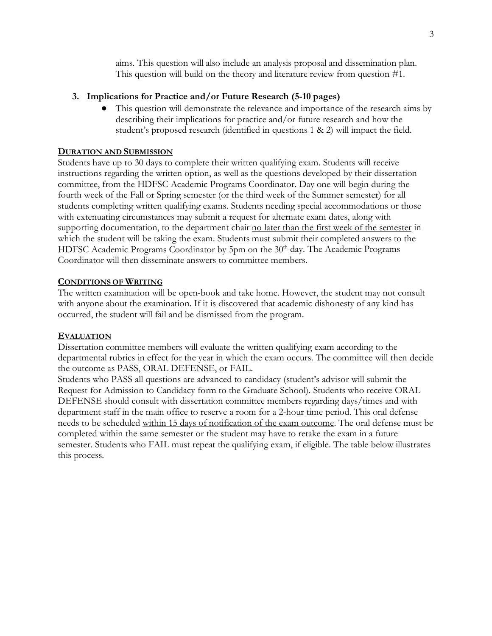aims. This question will also include an analysis proposal and dissemination plan. This question will build on the theory and literature review from question #1.

#### **3. Implications for Practice and/or Future Research (5-10 pages)**

This question will demonstrate the relevance and importance of the research aims by describing their implications for practice and/or future research and how the student's proposed research (identified in questions 1 & 2) will impact the field.

#### **DURATION AND SUBMISSION**

Students have up to 30 days to complete their written qualifying exam. Students will receive instructions regarding the written option, as well as the questions developed by their dissertation committee, from the HDFSC Academic Programs Coordinator. Day one will begin during the fourth week of the Fall or Spring semester (or the third week of the Summer semester) for all students completing written qualifying exams. Students needing special accommodations or those with extenuating circumstances may submit a request for alternate exam dates, along with supporting documentation, to the department chair no later than the first week of the semester in which the student will be taking the exam. Students must submit their completed answers to the HDFSC Academic Programs Coordinator by 5pm on the 30<sup>th</sup> day. The Academic Programs Coordinator will then disseminate answers to committee members.

#### **CONDITIONS OF WRITING**

The written examination will be open-book and take home. However, the student may not consult with anyone about the examination. If it is discovered that academic dishonesty of any kind has occurred, the student will fail and be dismissed from the program.

#### **EVALUATION**

Dissertation committee members will evaluate the written qualifying exam according to the departmental rubrics in effect for the year in which the exam occurs. The committee will then decide the outcome as PASS, ORAL DEFENSE, or FAIL.

Students who PASS all questions are advanced to candidacy (student's advisor will submit the Request for Admission to Candidacy form to the Graduate School). Students who receive ORAL DEFENSE should consult with dissertation committee members regarding days/times and with department staff in the main office to reserve a room for a 2-hour time period. This oral defense needs to be scheduled within 15 days of notification of the exam outcome. The oral defense must be completed within the same semester or the student may have to retake the exam in a future semester. Students who FAIL must repeat the qualifying exam, if eligible. The table below illustrates this process.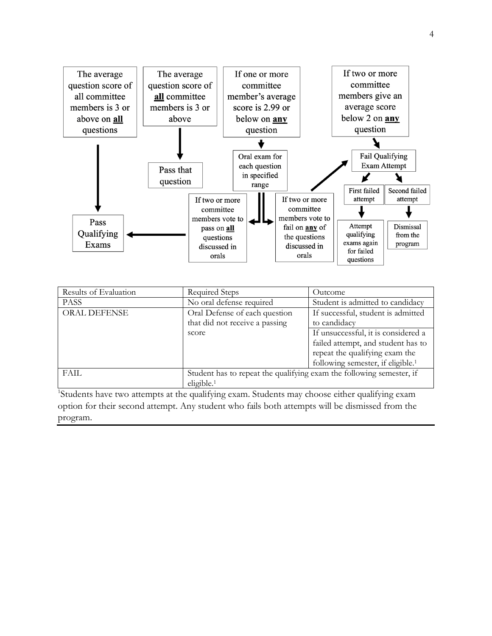

| Results of Evaluation | Required Steps                                                       | Outcome                                       |
|-----------------------|----------------------------------------------------------------------|-----------------------------------------------|
| <b>PASS</b>           | No oral defense required                                             | Student is admitted to candidacy              |
| <b>ORAL DEFENSE</b>   | Oral Defense of each question                                        | If successful, student is admitted            |
|                       | that did not receive a passing                                       | to candidacy                                  |
|                       | score                                                                | If unsuccessful, it is considered a           |
|                       |                                                                      | failed attempt, and student has to            |
|                       |                                                                      | repeat the qualifying exam the                |
|                       |                                                                      | following semester, if eligible. <sup>1</sup> |
| FAIL                  | Student has to repeat the qualifying exam the following semester, if |                                               |
|                       | eligible. <sup>1</sup>                                               |                                               |

<sup>1</sup>Students have two attempts at the qualifying exam. Students may choose either qualifying exam option for their second attempt. Any student who fails both attempts will be dismissed from the program.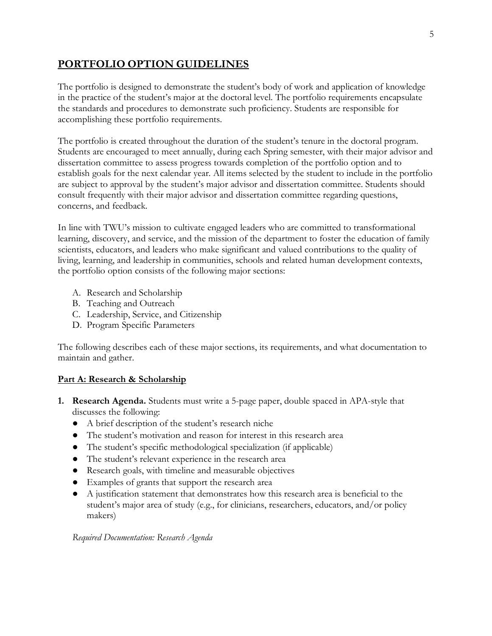# **PORTFOLIO OPTION GUIDELINES**

The portfolio is designed to demonstrate the student's body of work and application of knowledge in the practice of the student's major at the doctoral level. The portfolio requirements encapsulate the standards and procedures to demonstrate such proficiency. Students are responsible for accomplishing these portfolio requirements.

The portfolio is created throughout the duration of the student's tenure in the doctoral program. Students are encouraged to meet annually, during each Spring semester, with their major advisor and dissertation committee to assess progress towards completion of the portfolio option and to establish goals for the next calendar year. All items selected by the student to include in the portfolio are subject to approval by the student's major advisor and dissertation committee. Students should consult frequently with their major advisor and dissertation committee regarding questions, concerns, and feedback.

In line with TWU's mission to cultivate engaged leaders who are committed to transformational learning, discovery, and service, and the mission of the department to foster the education of family scientists, educators, and leaders who make significant and valued contributions to the quality of living, learning, and leadership in communities, schools and related human development contexts, the portfolio option consists of the following major sections:

- A. Research and Scholarship
- B. Teaching and Outreach
- C. Leadership, Service, and Citizenship
- D. Program Specific Parameters

The following describes each of these major sections, its requirements, and what documentation to maintain and gather.

#### **Part A: Research & Scholarship**

- **1. Research Agenda.** Students must write a 5-page paper, double spaced in APA-style that discusses the following:
	- A brief description of the student's research niche
	- The student's motivation and reason for interest in this research area
	- The student's specific methodological specialization (if applicable)
	- The student's relevant experience in the research area
	- Research goals, with timeline and measurable objectives
	- Examples of grants that support the research area
	- A justification statement that demonstrates how this research area is beneficial to the student's major area of study (e.g., for clinicians, researchers, educators, and/or policy makers)

*Required Documentation: Research Agenda*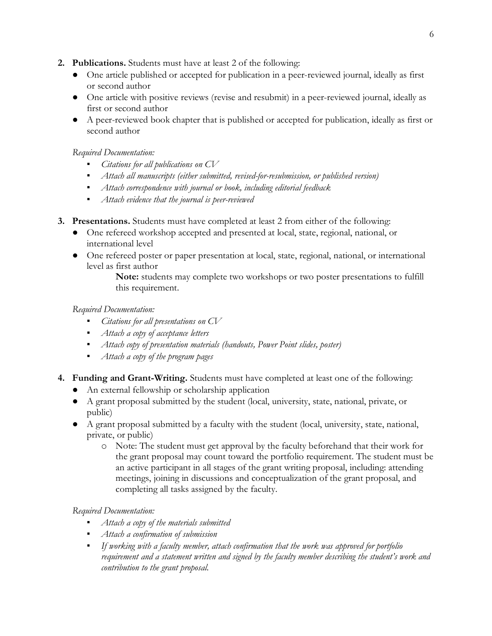- **2. Publications.** Students must have at least 2 of the following:
	- One article published or accepted for publication in a peer-reviewed journal, ideally as first or second author
	- One article with positive reviews (revise and resubmit) in a peer-reviewed journal, ideally as first or second author
	- A peer-reviewed book chapter that is published or accepted for publication, ideally as first or second author

#### *Required Documentation:*

- *Citations for all publications on CV*
- *Attach all manuscripts (either submitted, revised-for-resubmission, or published version)*
- *Attach correspondence with journal or book, including editorial feedback*
- *Attach evidence that the journal is peer-reviewed*
- **3. Presentations.** Students must have completed at least 2 from either of the following:
	- One refereed workshop accepted and presented at local, state, regional, national, or international level
	- One refereed poster or paper presentation at local, state, regional, national, or international level as first author

**Note:** students may complete two workshops or two poster presentations to fulfill this requirement.

#### *Required Documentation:*

- *Citations for all presentations on CV*
- *Attach a copy of acceptance letters*
- *Attach copy of presentation materials (handouts, Power Point slides, poster)*
- *Attach a copy of the program pages*
- **4. Funding and Grant-Writing.** Students must have completed at least one of the following:
	- An external fellowship or scholarship application
	- A grant proposal submitted by the student (local, university, state, national, private, or public)
	- A grant proposal submitted by a faculty with the student (local, university, state, national, private, or public)
		- o Note: The student must get approval by the faculty beforehand that their work for the grant proposal may count toward the portfolio requirement. The student must be an active participant in all stages of the grant writing proposal, including: attending meetings, joining in discussions and conceptualization of the grant proposal, and completing all tasks assigned by the faculty.

#### *Required Documentation:*

- *Attach a copy of the materials submitted*
- *Attach a confirmation of submission*
- *If working with a faculty member, attach confirmation that the work was approved for portfolio requirement and a statement written and signed by the faculty member describing the student's work and contribution to the grant proposal.*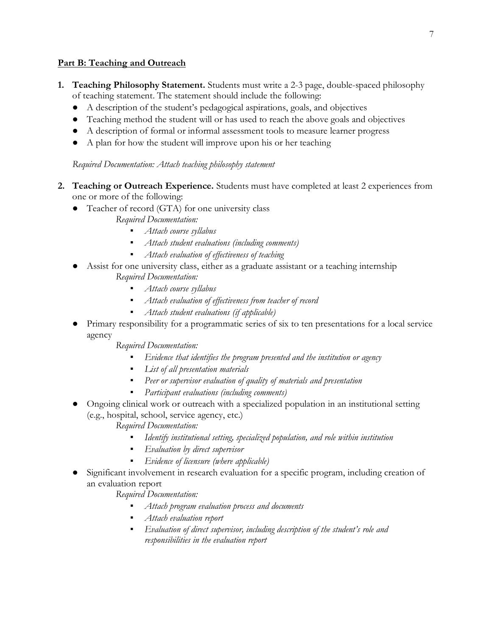#### **Part B: Teaching and Outreach**

- **1. Teaching Philosophy Statement.** Students must write a 2-3 page, double-spaced philosophy of teaching statement. The statement should include the following:
	- A description of the student's pedagogical aspirations, goals, and objectives
	- Teaching method the student will or has used to reach the above goals and objectives
	- A description of formal or informal assessment tools to measure learner progress
	- A plan for how the student will improve upon his or her teaching

#### *Required Documentation: Attach teaching philosophy statement*

- **2. Teaching or Outreach Experience.** Students must have completed at least 2 experiences from one or more of the following:
	- Teacher of record (GTA) for one university class
		- *Required Documentation:*
			- *Attach course syllabus*
			- *Attach student evaluations (including comments)*
			- *Attach evaluation of effectiveness of teaching*
	- Assist for one university class, either as a graduate assistant or a teaching internship *Required Documentation:*
		- *Attach course syllabus*
		- *Attach evaluation of effectiveness from teacher of record*
		- *Attach student evaluations (if applicable)*
	- Primary responsibility for a programmatic series of six to ten presentations for a local service agency

*Required Documentation:*

- *Evidence that identifies the program presented and the institution or agency*
- *List of all presentation materials*
- Peer or *supervisor evaluation of quality of materials and presentation*
- Participant evaluations (including comments)
- Ongoing clinical work or outreach with a specialized population in an institutional setting (e.g., hospital, school, service agency, etc.)

*Required Documentation:*

- Identify institutional setting, specialized population, and role within institution
- *Evaluation by direct supervisor*
- *Evidence of licensure (where applicable)*
- Significant involvement in research evaluation for a specific program, including creation of an evaluation report

*Required Documentation:*

- *Attach program evaluation process and documents*
- *Attach evaluation report*
- *Evaluation of direct supervisor, including description of the student's role and responsibilities in the evaluation report*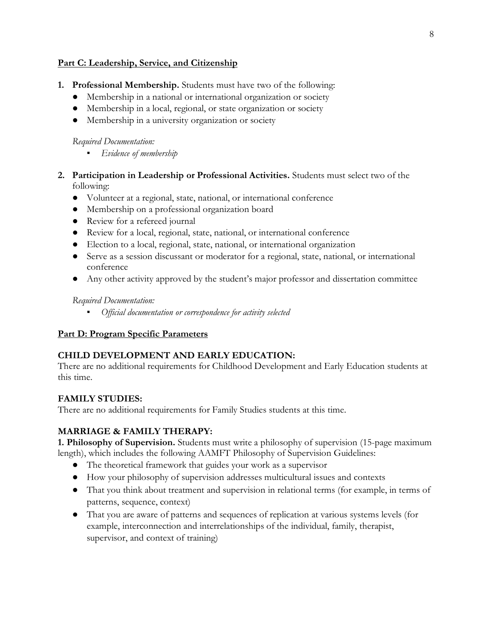#### **Part C: Leadership, Service, and Citizenship**

- **1. Professional Membership.** Students must have two of the following:
	- Membership in a national or international organization or society
	- Membership in a local, regional, or state organization or society
	- Membership in a university organization or society

#### *Required Documentation:*

- *Evidence of membership*
- **2. Participation in Leadership or Professional Activities.** Students must select two of the following:
	- Volunteer at a regional, state, national, or international conference
	- Membership on a professional organization board
	- Review for a refereed journal
	- Review for a local, regional, state, national, or international conference
	- Election to a local, regional, state, national, or international organization
	- Serve as a session discussant or moderator for a regional, state, national, or international conference
	- Any other activity approved by the student's major professor and dissertation committee

#### *Required Documentation:*

▪ *Official documentation or correspondence for activity selected*

#### **Part D: Program Specific Parameters**

#### **CHILD DEVELOPMENT AND EARLY EDUCATION:**

There are no additional requirements for Childhood Development and Early Education students at this time.

#### **FAMILY STUDIES:**

There are no additional requirements for Family Studies students at this time.

#### **MARRIAGE & FAMILY THERAPY:**

**1. Philosophy of Supervision.** Students must write a philosophy of supervision (15-page maximum length), which includes the following AAMFT Philosophy of Supervision Guidelines:

- The theoretical framework that guides your work as a supervisor
- How your philosophy of supervision addresses multicultural issues and contexts
- That you think about treatment and supervision in relational terms (for example, in terms of patterns, sequence, context)
- That you are aware of patterns and sequences of replication at various systems levels (for example, interconnection and interrelationships of the individual, family, therapist, supervisor, and context of training)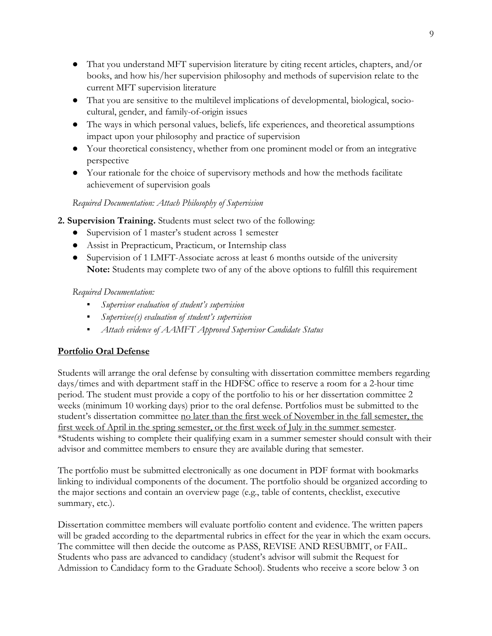- That you understand MFT supervision literature by citing recent articles, chapters, and/or books, and how his/her supervision philosophy and methods of supervision relate to the current MFT supervision literature
- That you are sensitive to the multilevel implications of developmental, biological, sociocultural, gender, and family-of-origin issues
- The ways in which personal values, beliefs, life experiences, and theoretical assumptions impact upon your philosophy and practice of supervision
- Your theoretical consistency, whether from one prominent model or from an integrative perspective
- Your rationale for the choice of supervisory methods and how the methods facilitate achievement of supervision goals

#### *Required Documentation: Attach Philosophy of Supervision*

- **2. Supervision Training.** Students must select two of the following:
	- Supervision of 1 master's student across 1 semester
	- Assist in Prepracticum, Practicum, or Internship class
	- Supervision of 1 LMFT-Associate across at least 6 months outside of the university **Note:** Students may complete two of any of the above options to fulfill this requirement

#### *Required Documentation:*

- *Supervisor evaluation of student's supervision*
- *Supervisee(s) evaluation of student's supervision*
- *Attach evidence of AAMFT Approved Supervisor Candidate Status*

## **Portfolio Oral Defense**

Students will arrange the oral defense by consulting with dissertation committee members regarding days/times and with department staff in the HDFSC office to reserve a room for a 2-hour time period. The student must provide a copy of the portfolio to his or her dissertation committee 2 weeks (minimum 10 working days) prior to the oral defense. Portfolios must be submitted to the student's dissertation committee no later than the first week of November in the fall semester, the first week of April in the spring semester, or the first week of July in the summer semester. \*Students wishing to complete their qualifying exam in a summer semester should consult with their advisor and committee members to ensure they are available during that semester.

The portfolio must be submitted electronically as one document in PDF format with bookmarks linking to individual components of the document. The portfolio should be organized according to the major sections and contain an overview page (e.g., table of contents, checklist, executive summary, etc.).

Dissertation committee members will evaluate portfolio content and evidence. The written papers will be graded according to the departmental rubrics in effect for the year in which the exam occurs. The committee will then decide the outcome as PASS, REVISE AND RESUBMIT, or FAIL. Students who pass are advanced to candidacy (student's advisor will submit the Request for Admission to Candidacy form to the Graduate School). Students who receive a score below 3 on